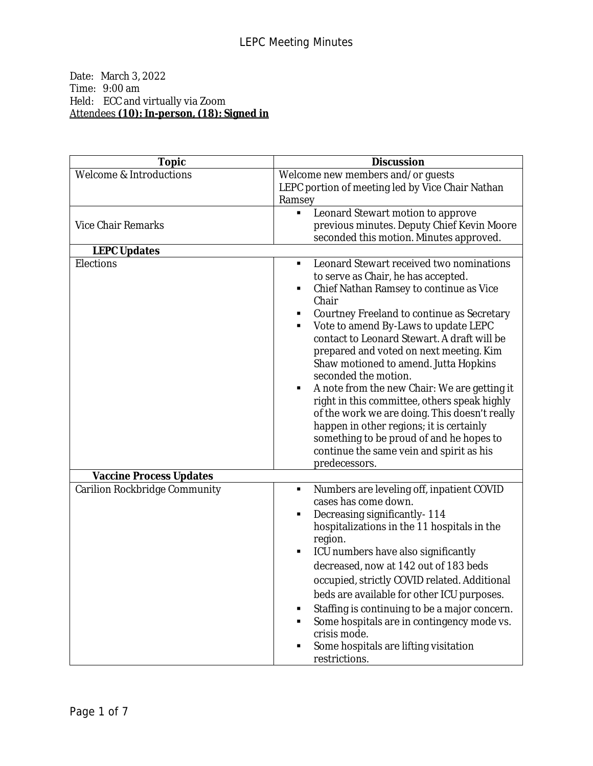## Date: March 3, 2022 Time: 9:00 am Held: ECC and virtually via Zoom Attendees **(10): In-person, (18): Signed in**

| <b>Topic</b>                   | <b>Discussion</b>                                                                                                                                                                                                                                                                                                                                                                                                                                                                                                                                                                                                                                                                                              |
|--------------------------------|----------------------------------------------------------------------------------------------------------------------------------------------------------------------------------------------------------------------------------------------------------------------------------------------------------------------------------------------------------------------------------------------------------------------------------------------------------------------------------------------------------------------------------------------------------------------------------------------------------------------------------------------------------------------------------------------------------------|
| Welcome & Introductions        | Welcome new members and/or guests<br>LEPC portion of meeting led by Vice Chair Nathan<br>Ramsey                                                                                                                                                                                                                                                                                                                                                                                                                                                                                                                                                                                                                |
| <b>Vice Chair Remarks</b>      | Leonard Stewart motion to approve<br>Ξ<br>previous minutes. Deputy Chief Kevin Moore<br>seconded this motion. Minutes approved.                                                                                                                                                                                                                                                                                                                                                                                                                                                                                                                                                                                |
| <b>LEPC Updates</b>            |                                                                                                                                                                                                                                                                                                                                                                                                                                                                                                                                                                                                                                                                                                                |
| Elections                      | Leonard Stewart received two nominations<br>to serve as Chair, he has accepted.<br>Chief Nathan Ramsey to continue as Vice<br>٠<br>Chair<br>Courtney Freeland to continue as Secretary<br>٠<br>Vote to amend By-Laws to update LEPC<br>٠<br>contact to Leonard Stewart. A draft will be<br>prepared and voted on next meeting. Kim<br>Shaw motioned to amend. Jutta Hopkins<br>seconded the motion.<br>A note from the new Chair: We are getting it<br>٠<br>right in this committee, others speak highly<br>of the work we are doing. This doesn't really<br>happen in other regions; it is certainly<br>something to be proud of and he hopes to<br>continue the same vein and spirit as his<br>predecessors. |
| <b>Vaccine Process Updates</b> |                                                                                                                                                                                                                                                                                                                                                                                                                                                                                                                                                                                                                                                                                                                |
| Carilion Rockbridge Community  | Numbers are leveling off, inpatient COVID<br>٠<br>cases has come down.<br>Decreasing significantly-114<br>٠<br>hospitalizations in the 11 hospitals in the<br>region.<br>ICU numbers have also significantly<br>٠<br>decreased, now at 142 out of 183 beds<br>occupied, strictly COVID related. Additional<br>beds are available for other ICU purposes.<br>Staffing is continuing to be a major concern.<br>Some hospitals are in contingency mode vs.<br>crisis mode.<br>Some hospitals are lifting visitation<br>restrictions.                                                                                                                                                                              |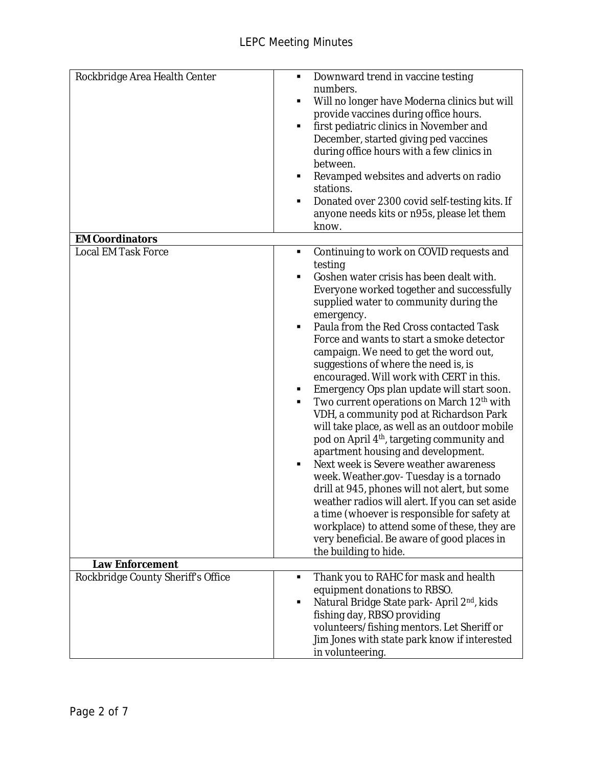| Rockbridge Area Health Center                        | Downward trend in vaccine testing<br>٠<br>numbers.<br>Will no longer have Moderna clinics but will<br>provide vaccines during office hours.<br>first pediatric clinics in November and<br>٠<br>December, started giving ped vaccines<br>during office hours with a few clinics in<br>between.<br>Revamped websites and adverts on radio<br>٠<br>stations.<br>Donated over 2300 covid self-testing kits. If<br>٠<br>anyone needs kits or n95s, please let them<br>know.                                                                                                                                                                                                                                                                                                                                                                                                                                                                                                                                                                                                                                                |
|------------------------------------------------------|-----------------------------------------------------------------------------------------------------------------------------------------------------------------------------------------------------------------------------------------------------------------------------------------------------------------------------------------------------------------------------------------------------------------------------------------------------------------------------------------------------------------------------------------------------------------------------------------------------------------------------------------------------------------------------------------------------------------------------------------------------------------------------------------------------------------------------------------------------------------------------------------------------------------------------------------------------------------------------------------------------------------------------------------------------------------------------------------------------------------------|
| <b>EM Coordinators</b>                               |                                                                                                                                                                                                                                                                                                                                                                                                                                                                                                                                                                                                                                                                                                                                                                                                                                                                                                                                                                                                                                                                                                                       |
| <b>Local EM Task Force</b><br><b>Law Enforcement</b> | Continuing to work on COVID requests and<br>٠<br>testing<br>Goshen water crisis has been dealt with.<br>п<br>Everyone worked together and successfully<br>supplied water to community during the<br>emergency.<br>Paula from the Red Cross contacted Task<br>٠<br>Force and wants to start a smoke detector<br>campaign. We need to get the word out,<br>suggestions of where the need is, is<br>encouraged. Will work with CERT in this.<br>Emergency Ops plan update will start soon.<br>٠<br>Two current operations on March 12 <sup>th</sup> with<br>٠<br>VDH, a community pod at Richardson Park<br>will take place, as well as an outdoor mobile<br>pod on April 4 <sup>th</sup> , targeting community and<br>apartment housing and development.<br>Next week is Severe weather awareness<br>week. Weather.gov-Tuesday is a tornado<br>drill at 945, phones will not alert, but some<br>weather radios will alert. If you can set aside<br>a time (whoever is responsible for safety at<br>workplace) to attend some of these, they are<br>very beneficial. Be aware of good places in<br>the building to hide. |
|                                                      |                                                                                                                                                                                                                                                                                                                                                                                                                                                                                                                                                                                                                                                                                                                                                                                                                                                                                                                                                                                                                                                                                                                       |
| Rockbridge County Sheriff's Office                   | Thank you to RAHC for mask and health<br>п<br>equipment donations to RBSO.<br>Natural Bridge State park-April 2 <sup>nd</sup> , kids<br>п<br>fishing day, RBSO providing<br>volunteers/fishing mentors. Let Sheriff or<br>Jim Jones with state park know if interested<br>in volunteering.                                                                                                                                                                                                                                                                                                                                                                                                                                                                                                                                                                                                                                                                                                                                                                                                                            |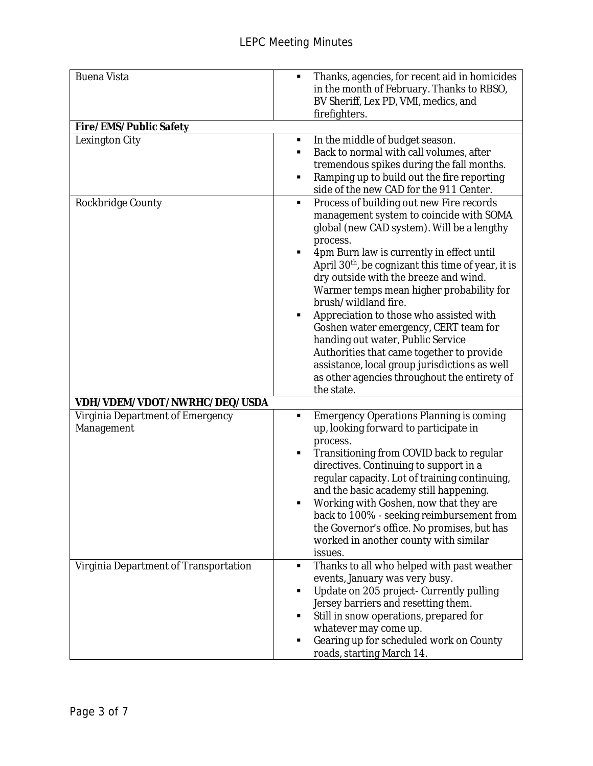| <b>Buena Vista</b>                             | Thanks, agencies, for recent aid in homicides<br>٠<br>in the month of February. Thanks to RBSO,<br>BV Sheriff, Lex PD, VMI, medics, and<br>firefighters.                                                                                                                                                                                                                                                                                                                                                                                                                                                                                                                 |
|------------------------------------------------|--------------------------------------------------------------------------------------------------------------------------------------------------------------------------------------------------------------------------------------------------------------------------------------------------------------------------------------------------------------------------------------------------------------------------------------------------------------------------------------------------------------------------------------------------------------------------------------------------------------------------------------------------------------------------|
| <b>Fire/EMS/Public Safety</b>                  |                                                                                                                                                                                                                                                                                                                                                                                                                                                                                                                                                                                                                                                                          |
| Lexington City                                 | In the middle of budget season.<br>٠<br>Back to normal with call volumes, after<br>tremendous spikes during the fall months.<br>Ramping up to build out the fire reporting<br>٠<br>side of the new CAD for the 911 Center.                                                                                                                                                                                                                                                                                                                                                                                                                                               |
| Rockbridge County                              | Process of building out new Fire records<br>٠<br>management system to coincide with SOMA<br>global (new CAD system). Will be a lengthy<br>process.<br>4pm Burn law is currently in effect until<br>٠<br>April 30 <sup>th</sup> , be cognizant this time of year, it is<br>dry outside with the breeze and wind.<br>Warmer temps mean higher probability for<br>brush/wildland fire.<br>Appreciation to those who assisted with<br>Goshen water emergency, CERT team for<br>handing out water, Public Service<br>Authorities that came together to provide<br>assistance, local group jurisdictions as well<br>as other agencies throughout the entirety of<br>the state. |
| VDH/VDEM/VDOT/NWRHC/DEQ/USDA                   |                                                                                                                                                                                                                                                                                                                                                                                                                                                                                                                                                                                                                                                                          |
| Virginia Department of Emergency<br>Management | <b>Emergency Operations Planning is coming</b><br>п<br>up, looking forward to participate in<br>process.<br>Transitioning from COVID back to regular<br>٠<br>directives. Continuing to support in a<br>regular capacity. Lot of training continuing,<br>and the basic academy still happening.<br>Working with Goshen, now that they are<br>back to 100% - seeking reimbursement from<br>the Governor's office. No promises, but has<br>worked in another county with similar<br>issues.                                                                                                                                                                                 |
| Virginia Department of Transportation          | Thanks to all who helped with past weather<br>٠<br>events, January was very busy.<br>Update on 205 project- Currently pulling<br>Jersey barriers and resetting them.<br>Still in snow operations, prepared for<br>whatever may come up.<br>Gearing up for scheduled work on County<br>roads, starting March 14.                                                                                                                                                                                                                                                                                                                                                          |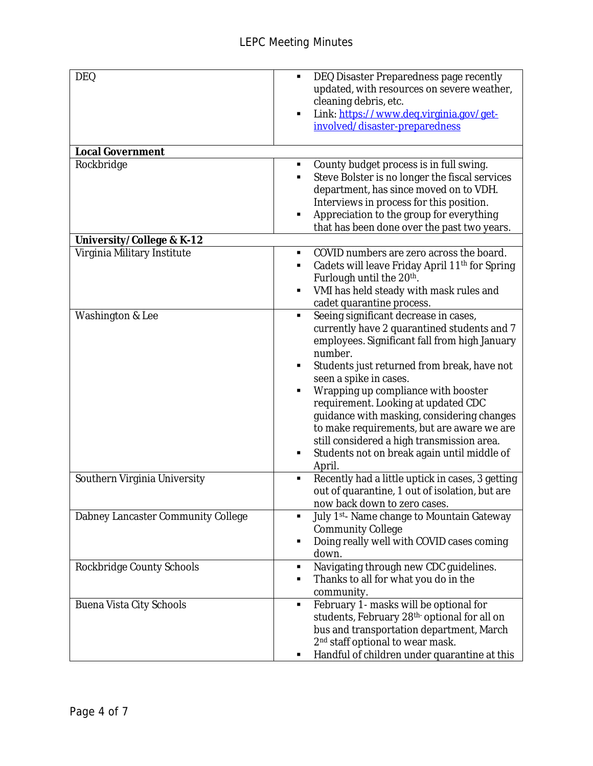| <b>DEQ</b>                         | DEQ Disaster Preparedness page recently<br>٠<br>updated, with resources on severe weather,<br>cleaning debris, etc.<br>Link: https://www.deq.virginia.gov/get-<br>involved/disaster-preparedness                                                                                                                                                                                                                                                                                                                |
|------------------------------------|-----------------------------------------------------------------------------------------------------------------------------------------------------------------------------------------------------------------------------------------------------------------------------------------------------------------------------------------------------------------------------------------------------------------------------------------------------------------------------------------------------------------|
| <b>Local Government</b>            |                                                                                                                                                                                                                                                                                                                                                                                                                                                                                                                 |
| Rockbridge                         | County budget process is in full swing.<br>٠<br>Steve Bolster is no longer the fiscal services<br>department, has since moved on to VDH.<br>Interviews in process for this position.<br>Appreciation to the group for everything<br>that has been done over the past two years.                                                                                                                                                                                                                                 |
| University/College & K-12          |                                                                                                                                                                                                                                                                                                                                                                                                                                                                                                                 |
| Virginia Military Institute        | COVID numbers are zero across the board.<br>٠<br>Cadets will leave Friday April 11 <sup>th</sup> for Spring<br>٠<br>Furlough until the 20 <sup>th</sup> .<br>VMI has held steady with mask rules and<br>cadet quarantine process.                                                                                                                                                                                                                                                                               |
| Washington & Lee                   | Seeing significant decrease in cases,<br>٠<br>currently have 2 quarantined students and 7<br>employees. Significant fall from high January<br>number.<br>Students just returned from break, have not<br>seen a spike in cases.<br>Wrapping up compliance with booster<br>requirement. Looking at updated CDC<br>guidance with masking, considering changes<br>to make requirements, but are aware we are<br>still considered a high transmission area.<br>Students not on break again until middle of<br>April. |
| Southern Virginia University       | Recently had a little uptick in cases, 3 getting<br>$\blacksquare$<br>out of quarantine, 1 out of isolation, but are<br>now back down to zero cases.                                                                                                                                                                                                                                                                                                                                                            |
| Dabney Lancaster Community College | July 1st-Name change to Mountain Gateway<br><b>Community College</b><br>Doing really well with COVID cases coming<br>down.                                                                                                                                                                                                                                                                                                                                                                                      |
| Rockbridge County Schools          | Navigating through new CDC guidelines.<br>٠<br>Thanks to all for what you do in the<br>community.                                                                                                                                                                                                                                                                                                                                                                                                               |
| Buena Vista City Schools           | February 1- masks will be optional for<br>٠<br>students, February 28 <sup>th-</sup> optional for all on<br>bus and transportation department, March<br>2 <sup>nd</sup> staff optional to wear mask.<br>Handful of children under quarantine at this                                                                                                                                                                                                                                                             |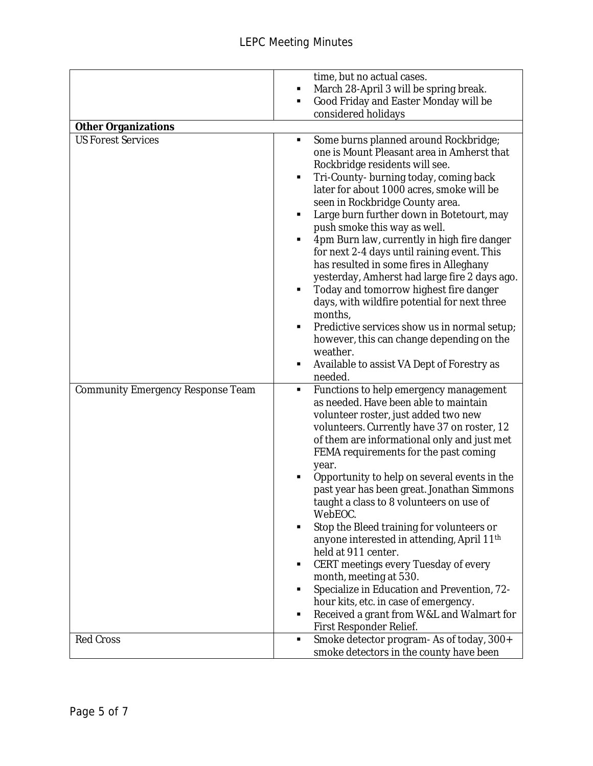|                                          | time, but no actual cases.<br>March 28-April 3 will be spring break.<br>٠<br>Good Friday and Easter Monday will be<br>٠<br>considered holidays                                                                                                                                                                                                                                                                                                                                                                                                                                                                                                                                                                                                                                                                              |
|------------------------------------------|-----------------------------------------------------------------------------------------------------------------------------------------------------------------------------------------------------------------------------------------------------------------------------------------------------------------------------------------------------------------------------------------------------------------------------------------------------------------------------------------------------------------------------------------------------------------------------------------------------------------------------------------------------------------------------------------------------------------------------------------------------------------------------------------------------------------------------|
| <b>Other Organizations</b>               |                                                                                                                                                                                                                                                                                                                                                                                                                                                                                                                                                                                                                                                                                                                                                                                                                             |
| <b>US Forest Services</b>                | Some burns planned around Rockbridge;<br>٠<br>one is Mount Pleasant area in Amherst that<br>Rockbridge residents will see.<br>Tri-County- burning today, coming back<br>٠<br>later for about 1000 acres, smoke will be<br>seen in Rockbridge County area.<br>Large burn further down in Botetourt, may<br>٠<br>push smoke this way as well.<br>4pm Burn law, currently in high fire danger<br>for next 2-4 days until raining event. This<br>has resulted in some fires in Alleghany<br>yesterday, Amherst had large fire 2 days ago.<br>Today and tomorrow highest fire danger<br>٠<br>days, with wildfire potential for next three<br>months,<br>Predictive services show us in normal setup;<br>٠<br>however, this can change depending on the<br>weather.<br>Available to assist VA Dept of Forestry as<br>٠<br>needed. |
| <b>Community Emergency Response Team</b> | Functions to help emergency management<br>٠<br>as needed. Have been able to maintain<br>volunteer roster, just added two new<br>volunteers. Currently have 37 on roster, 12<br>of them are informational only and just met<br>FEMA requirements for the past coming<br>year.<br>Opportunity to help on several events in the<br>past year has been great. Jonathan Simmons<br>taught a class to 8 volunteers on use of<br>WebEOC.<br>Stop the Bleed training for volunteers or<br>anyone interested in attending, April $11th$<br>held at 911 center.<br>CERT meetings every Tuesday of every<br>٠<br>month, meeting at 530.<br>Specialize in Education and Prevention, 72-<br>٠<br>hour kits, etc. in case of emergency.<br>Received a grant from W&L and Walmart for<br>٠<br>First Responder Relief.                      |
| Red Cross                                | Smoke detector program- As of today, 300+<br>٠<br>smoke detectors in the county have been                                                                                                                                                                                                                                                                                                                                                                                                                                                                                                                                                                                                                                                                                                                                   |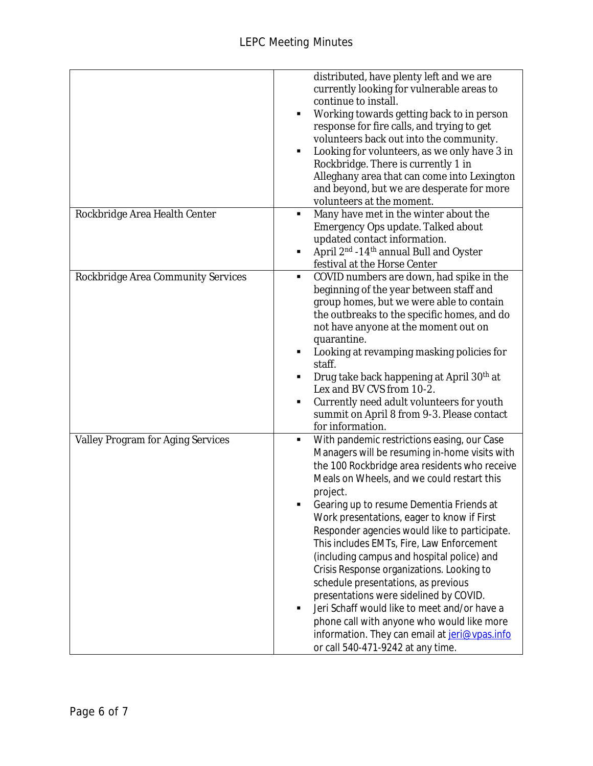|                                          | distributed, have plenty left and we are<br>currently looking for vulnerable areas to<br>continue to install.<br>Working towards getting back to in person<br>$\blacksquare$<br>response for fire calls, and trying to get<br>volunteers back out into the community.<br>Looking for volunteers, as we only have 3 in<br>п<br>Rockbridge. There is currently 1 in<br>Alleghany area that can come into Lexington<br>and beyond, but we are desperate for more<br>volunteers at the moment.                                                                                                                                                                                                                                                                           |
|------------------------------------------|----------------------------------------------------------------------------------------------------------------------------------------------------------------------------------------------------------------------------------------------------------------------------------------------------------------------------------------------------------------------------------------------------------------------------------------------------------------------------------------------------------------------------------------------------------------------------------------------------------------------------------------------------------------------------------------------------------------------------------------------------------------------|
| Rockbridge Area Health Center            | Many have met in the winter about the<br>٠<br>Emergency Ops update. Talked about<br>updated contact information.<br>April 2 <sup>nd</sup> -14 <sup>th</sup> annual Bull and Oyster<br>٠<br>festival at the Horse Center                                                                                                                                                                                                                                                                                                                                                                                                                                                                                                                                              |
| Rockbridge Area Community Services       | COVID numbers are down, had spike in the<br>٠<br>beginning of the year between staff and<br>group homes, but we were able to contain<br>the outbreaks to the specific homes, and do<br>not have anyone at the moment out on<br>quarantine.<br>Looking at revamping masking policies for<br>٠<br>staff.<br>Drug take back happening at April 30 <sup>th</sup> at<br>Lex and BV CVS from 10-2.<br>Currently need adult volunteers for youth<br>п<br>summit on April 8 from 9-3. Please contact<br>for information.                                                                                                                                                                                                                                                     |
| <b>Valley Program for Aging Services</b> | With pandemic restrictions easing, our Case<br>٠<br>Managers will be resuming in-home visits with<br>the 100 Rockbridge area residents who receive<br>Meals on Wheels, and we could restart this<br>project.<br>Gearing up to resume Dementia Friends at<br>Work presentations, eager to know if First<br>Responder agencies would like to participate.<br>This includes EMTs, Fire, Law Enforcement<br>(including campus and hospital police) and<br>Crisis Response organizations. Looking to<br>schedule presentations, as previous<br>presentations were sidelined by COVID.<br>Jeri Schaff would like to meet and/or have a<br>phone call with anyone who would like more<br>information. They can email at jeri@vpas.info<br>or call 540-471-9242 at any time. |